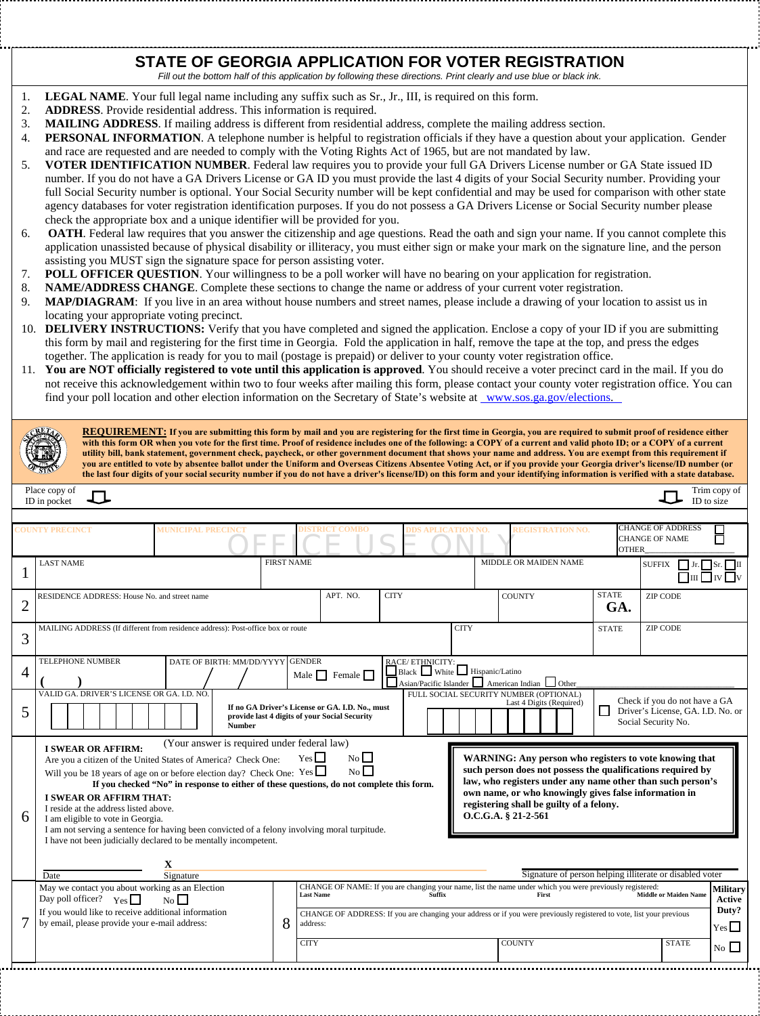## **STATE OF GEORGIA APPLICATION FOR VOTER REGISTRATION**

Fill out the bottom half of this application by following these directions. Print clearly and use blue or black ink.

- 1. **LEGAL NAME**. Your full legal name including any suffix such as Sr., Jr., III, is required on this form.
- 2. **ADDRESS**. Provide residential address. This information is required.
- 3. **MAILING ADDRESS**. If mailing address is different from residential address, complete the mailing address section.
- 4. **PERSONAL INFORMATION**. A telephone number is helpful to registration officials if they have a question about your application. Gender and race are requested and are needed to comply with the Voting Rights Act of 1965, but are not mandated by law.
- 5. **VOTER IDENTIFICATION NUMBER**. Federal law requires you to provide your full GA Drivers License number or GA State issued ID number. If you do not have a GA Drivers License or GA ID you must provide the last 4 digits of your Social Security number. Providing your full Social Security number is optional. Your Social Security number will be kept confidential and may be used for comparison with other state agency databases for voter registration identification purposes. If you do not possess a GA Drivers License or Social Security number please check the appropriate box and a unique identifier will be provided for you.
- 6. **OATH**. Federal law requires that you answer the citizenship and age questions. Read the oath and sign your name. If you cannot complete this application unassisted because of physical disability or illiteracy, you must either sign or make your mark on the signature line, and the person assisting you MUST sign the signature space for person assisting voter.
- 7. **POLL OFFICER QUESTION**. Your willingness to be a poll worker will have no bearing on your application for registration.
- 8. **NAME/ADDRESS CHANGE**. Complete these sections to change the name or address of your current voter registration.
- 9. **MAP/DIAGRAM**: If you live in an area without house numbers and street names, please include a drawing of your location to assist us in locating your appropriate voting precinct.
- 10. **DELIVERY INSTRUCTIONS:** Verify that you have completed and signed the application. Enclose a copy of your ID if you are submitting this form by mail and registering for the first time in Georgia. Fold the application in half, remove the tape at the top, and press the edges together. The application is ready for you to mail (postage is prepaid) or deliver to your county voter registration office.
- 11. **You are NOT officially registered to vote until this application is approved**. You should receive a voter precinct card in the mail. If you do not receive this acknowledgement within two to four weeks after mailing this form, please contact your county voter registration office. You can find your poll location and other election information on the Secretary of State's website at [www.sos.ga.gov/elections](http://www.sos.state.ga.us/elections).

| <b>REQUIREMENT:</b> If you are submitting this form by mail and you are registering for the first time in Georgia, you are required to submit proof of residence either<br>with this form OR when you vote for the first time. Proof of residence includes one of the following: a COPY of a current and valid photo ID; or a COPY of a current<br>utility bill, bank statement, government check, paycheck, or other government document that shows your name and address. You are exempt from this requirement if<br>you are entitled to vote by absentee ballot under the Uniform and Overseas Citizens Absentee Voting Act, or if you provide your Georgia driver's license/ID number (or<br>the last four digits of your social security number if you do not have a driver's license/ID) on this form and your identifying information is verified with a state database. |                                                                                                                                                                                                                                                                                                                                                                                                                                                                                                                                                                                                                                                                                                                                                                                                                                                                                                                                                   |                   |                                                                                                                                                                                                                                                                                                |             |             |                                                          |                     |                                                                                   |                     |
|---------------------------------------------------------------------------------------------------------------------------------------------------------------------------------------------------------------------------------------------------------------------------------------------------------------------------------------------------------------------------------------------------------------------------------------------------------------------------------------------------------------------------------------------------------------------------------------------------------------------------------------------------------------------------------------------------------------------------------------------------------------------------------------------------------------------------------------------------------------------------------|---------------------------------------------------------------------------------------------------------------------------------------------------------------------------------------------------------------------------------------------------------------------------------------------------------------------------------------------------------------------------------------------------------------------------------------------------------------------------------------------------------------------------------------------------------------------------------------------------------------------------------------------------------------------------------------------------------------------------------------------------------------------------------------------------------------------------------------------------------------------------------------------------------------------------------------------------|-------------------|------------------------------------------------------------------------------------------------------------------------------------------------------------------------------------------------------------------------------------------------------------------------------------------------|-------------|-------------|----------------------------------------------------------|---------------------|-----------------------------------------------------------------------------------|---------------------|
| Place copy of<br>Trim copy of<br>J<br>ID to size<br>ID in pocket                                                                                                                                                                                                                                                                                                                                                                                                                                                                                                                                                                                                                                                                                                                                                                                                                |                                                                                                                                                                                                                                                                                                                                                                                                                                                                                                                                                                                                                                                                                                                                                                                                                                                                                                                                                   |                   |                                                                                                                                                                                                                                                                                                |             |             |                                                          |                     |                                                                                   |                     |
| <b>CHANGE OF ADDRESS</b><br><b>IUNICIPAL PRECINCI</b><br><b>REGISTRATION NO.</b><br><b>OUNTY PRECINCT</b><br>TRICT COMBO<br><b>APLICATION NO.</b>                                                                                                                                                                                                                                                                                                                                                                                                                                                                                                                                                                                                                                                                                                                               |                                                                                                                                                                                                                                                                                                                                                                                                                                                                                                                                                                                                                                                                                                                                                                                                                                                                                                                                                   |                   |                                                                                                                                                                                                                                                                                                |             |             |                                                          |                     |                                                                                   |                     |
|                                                                                                                                                                                                                                                                                                                                                                                                                                                                                                                                                                                                                                                                                                                                                                                                                                                                                 |                                                                                                                                                                                                                                                                                                                                                                                                                                                                                                                                                                                                                                                                                                                                                                                                                                                                                                                                                   |                   |                                                                                                                                                                                                                                                                                                |             |             | <b>CHANGE OF NAME</b><br><b>OTHER</b>                    |                     |                                                                                   |                     |
|                                                                                                                                                                                                                                                                                                                                                                                                                                                                                                                                                                                                                                                                                                                                                                                                                                                                                 | <b>LAST NAME</b>                                                                                                                                                                                                                                                                                                                                                                                                                                                                                                                                                                                                                                                                                                                                                                                                                                                                                                                                  | <b>FIRST NAME</b> |                                                                                                                                                                                                                                                                                                |             |             | MIDDLE OR MAIDEN NAME                                    |                     | <b>SUFFIX</b><br>$\Box$ Jr. $\Box$ Sr. $\Box$ II<br>$\Box$ III $\Box$ IV $\Box$ V |                     |
| 2                                                                                                                                                                                                                                                                                                                                                                                                                                                                                                                                                                                                                                                                                                                                                                                                                                                                               | RESIDENCE ADDRESS: House No. and street name                                                                                                                                                                                                                                                                                                                                                                                                                                                                                                                                                                                                                                                                                                                                                                                                                                                                                                      |                   | APT. NO.                                                                                                                                                                                                                                                                                       | <b>CITY</b> |             | <b>COUNTY</b>                                            | <b>STATE</b><br>GA. | <b>ZIP CODE</b>                                                                   |                     |
| 3                                                                                                                                                                                                                                                                                                                                                                                                                                                                                                                                                                                                                                                                                                                                                                                                                                                                               | MAILING ADDRESS (If different from residence address): Post-office box or route                                                                                                                                                                                                                                                                                                                                                                                                                                                                                                                                                                                                                                                                                                                                                                                                                                                                   |                   |                                                                                                                                                                                                                                                                                                |             | <b>CITY</b> |                                                          | <b>STATE</b>        | <b>ZIP CODE</b>                                                                   |                     |
| $\overline{4}$                                                                                                                                                                                                                                                                                                                                                                                                                                                                                                                                                                                                                                                                                                                                                                                                                                                                  | <b>TELEPHONE NUMBER</b><br>DATE OF BIRTH: MM/DD/YYYY GENDER<br>$\begin{tabular}{ c c } \hline \textbf{RACE/ETHNICITY:} \quad \quad & \textbf{Hispanic/Latino} \\\hline \end{tabular}$<br>Male $\Box$ Female $\Box$<br>Asian/Pacific Islander American Indian Other                                                                                                                                                                                                                                                                                                                                                                                                                                                                                                                                                                                                                                                                                |                   |                                                                                                                                                                                                                                                                                                |             |             |                                                          |                     |                                                                                   |                     |
| 5                                                                                                                                                                                                                                                                                                                                                                                                                                                                                                                                                                                                                                                                                                                                                                                                                                                                               | FULL SOCIAL SECURITY NUMBER (OPTIONAL)<br>VALID GA. DRIVER'S LICENSE OR GA. I.D. NO<br>Check if you do not have a GA<br>Last 4 Digits (Required)<br>If no GA Driver's License or GA. I.D. No., must<br>Driver's License, GA. I.D. No. or<br>$\sqcup$<br>provide last 4 digits of your Social Security<br>Social Security No.<br><b>Number</b>                                                                                                                                                                                                                                                                                                                                                                                                                                                                                                                                                                                                     |                   |                                                                                                                                                                                                                                                                                                |             |             |                                                          |                     |                                                                                   |                     |
| 6                                                                                                                                                                                                                                                                                                                                                                                                                                                                                                                                                                                                                                                                                                                                                                                                                                                                               | (Your answer is required under federal law)<br><b>I SWEAR OR AFFIRM:</b><br>$N_0$<br>Yes<br>WARNING: Any person who registers to vote knowing that<br>Are you a citizen of the United States of America? Check One:<br>No<br>such person does not possess the qualifications required by<br>Will you be 18 years of age on or before election day? Check One: $Yes \Box$<br>law, who registers under any name other than such person's<br>If you checked "No" in response to either of these questions, do not complete this form.<br>own name, or who knowingly gives false information in<br><b>I SWEAR OR AFFIRM THAT:</b><br>registering shall be guilty of a felony.<br>I reside at the address listed above.<br>O.C.G.A. § 21-2-561<br>I am eligible to vote in Georgia.<br>I am not serving a sentence for having been convicted of a felony involving moral turpitude.<br>I have not been judicially declared to be mentally incompetent. |                   |                                                                                                                                                                                                                                                                                                |             |             |                                                          |                     |                                                                                   |                     |
|                                                                                                                                                                                                                                                                                                                                                                                                                                                                                                                                                                                                                                                                                                                                                                                                                                                                                 | X<br>Signature<br>Date                                                                                                                                                                                                                                                                                                                                                                                                                                                                                                                                                                                                                                                                                                                                                                                                                                                                                                                            |                   |                                                                                                                                                                                                                                                                                                |             |             | Signature of person helping illiterate or disabled voter |                     |                                                                                   |                     |
|                                                                                                                                                                                                                                                                                                                                                                                                                                                                                                                                                                                                                                                                                                                                                                                                                                                                                 | May we contact you about working as an Election<br>Day poll officer? $Y_{\text{es}}$<br>$N_0$                                                                                                                                                                                                                                                                                                                                                                                                                                                                                                                                                                                                                                                                                                                                                                                                                                                     |                   | CHANGE OF NAME: If you are changing your name, list the name under which you were previously registered:<br>Last Name First Middle of Middle of Middle of Middle of Middle of Middle of Middle of Middle of Middle of Middle of M<br><b>Military</b><br><b>Middle or Maiden Name</b><br>Active |             |             |                                                          |                     |                                                                                   |                     |
|                                                                                                                                                                                                                                                                                                                                                                                                                                                                                                                                                                                                                                                                                                                                                                                                                                                                                 | If you would like to receive additional information<br>by email, please provide your e-mail address:                                                                                                                                                                                                                                                                                                                                                                                                                                                                                                                                                                                                                                                                                                                                                                                                                                              | 8                 | CHANGE OF ADDRESS: If you are changing your address or if you were previously registered to vote, list your previous<br>address:                                                                                                                                                               |             |             |                                                          |                     |                                                                                   | Duty?<br>$Yes \Box$ |
|                                                                                                                                                                                                                                                                                                                                                                                                                                                                                                                                                                                                                                                                                                                                                                                                                                                                                 |                                                                                                                                                                                                                                                                                                                                                                                                                                                                                                                                                                                                                                                                                                                                                                                                                                                                                                                                                   |                   | <b>CITY</b>                                                                                                                                                                                                                                                                                    |             |             | <b>COUNTY</b>                                            |                     | <b>STATE</b>                                                                      | No $\Box$           |
|                                                                                                                                                                                                                                                                                                                                                                                                                                                                                                                                                                                                                                                                                                                                                                                                                                                                                 |                                                                                                                                                                                                                                                                                                                                                                                                                                                                                                                                                                                                                                                                                                                                                                                                                                                                                                                                                   |                   |                                                                                                                                                                                                                                                                                                |             |             |                                                          |                     |                                                                                   |                     |